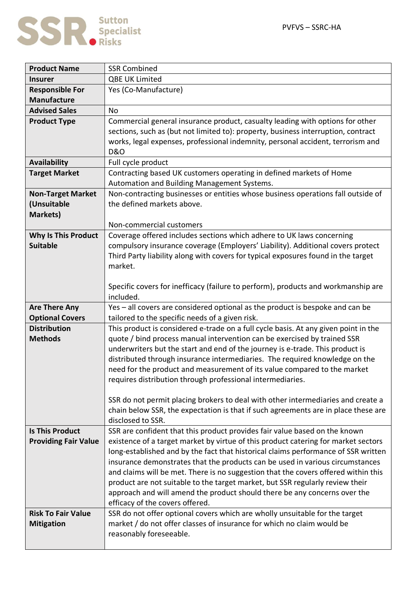

| <b>Product Name</b>         | <b>SSR Combined</b>                                                                 |
|-----------------------------|-------------------------------------------------------------------------------------|
| <b>Insurer</b>              | QBE UK Limited                                                                      |
| <b>Responsible For</b>      | Yes (Co-Manufacture)                                                                |
| <b>Manufacture</b>          |                                                                                     |
| <b>Advised Sales</b>        | <b>No</b>                                                                           |
| <b>Product Type</b>         | Commercial general insurance product, casualty leading with options for other       |
|                             | sections, such as (but not limited to): property, business interruption, contract   |
|                             | works, legal expenses, professional indemnity, personal accident, terrorism and     |
|                             | <b>D&amp;O</b>                                                                      |
| <b>Availability</b>         | Full cycle product                                                                  |
| <b>Target Market</b>        | Contracting based UK customers operating in defined markets of Home                 |
|                             | Automation and Building Management Systems.                                         |
| <b>Non-Target Market</b>    | Non-contracting businesses or entities whose business operations fall outside of    |
| (Unsuitable                 | the defined markets above.                                                          |
| <b>Markets)</b>             |                                                                                     |
|                             | Non-commercial customers                                                            |
| <b>Why Is This Product</b>  | Coverage offered includes sections which adhere to UK laws concerning               |
| <b>Suitable</b>             | compulsory insurance coverage (Employers' Liability). Additional covers protect     |
|                             | Third Party liability along with covers for typical exposures found in the target   |
|                             | market.                                                                             |
|                             |                                                                                     |
|                             | Specific covers for inefficacy (failure to perform), products and workmanship are   |
|                             | included.                                                                           |
| <b>Are There Any</b>        | Yes - all covers are considered optional as the product is bespoke and can be       |
| <b>Optional Covers</b>      | tailored to the specific needs of a given risk.                                     |
| <b>Distribution</b>         | This product is considered e-trade on a full cycle basis. At any given point in the |
| <b>Methods</b>              | quote / bind process manual intervention can be exercised by trained SSR            |
|                             | underwriters but the start and end of the journey is e-trade. This product is       |
|                             | distributed through insurance intermediaries. The required knowledge on the         |
|                             | need for the product and measurement of its value compared to the market            |
|                             | requires distribution through professional intermediaries.                          |
|                             | SSR do not permit placing brokers to deal with other intermediaries and create a    |
|                             | chain below SSR, the expectation is that if such agreements are in place these are  |
|                             | disclosed to SSR.                                                                   |
| <b>Is This Product</b>      | SSR are confident that this product provides fair value based on the known          |
| <b>Providing Fair Value</b> | existence of a target market by virtue of this product catering for market sectors  |
|                             | long-established and by the fact that historical claims performance of SSR written  |
|                             | insurance demonstrates that the products can be used in various circumstances       |
|                             | and claims will be met. There is no suggestion that the covers offered within this  |
|                             | product are not suitable to the target market, but SSR regularly review their       |
|                             | approach and will amend the product should there be any concerns over the           |
|                             | efficacy of the covers offered.                                                     |
| <b>Risk To Fair Value</b>   | SSR do not offer optional covers which are wholly unsuitable for the target         |
| <b>Mitigation</b>           | market / do not offer classes of insurance for which no claim would be              |
|                             | reasonably foreseeable.                                                             |
|                             |                                                                                     |